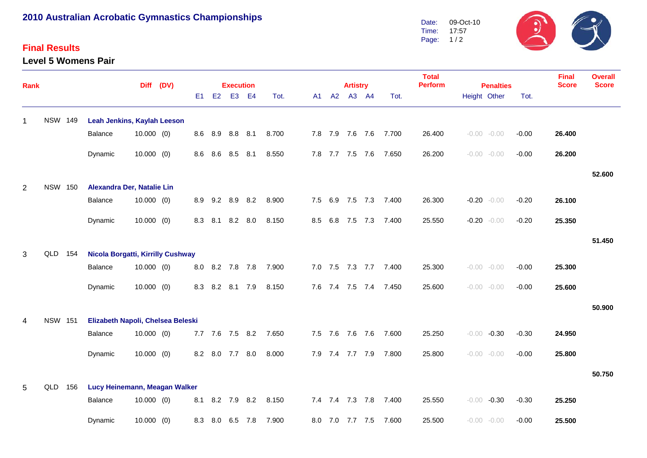## **2010 Australian Acrobatic Gymnastics Championships**

## **Final Results**

**Level 5 Womens Pair**



| Rank         |                |                                          |              | Diff (DV) |     |     | <b>Execution</b> |       |       |     |     |         | <b>Artistry</b> |         |               | <b>Total</b><br><b>Perform</b> | <b>Penalties</b> |                |         | <b>Final</b><br><b>Score</b> | <b>Overall</b><br><b>Score</b> |
|--------------|----------------|------------------------------------------|--------------|-----------|-----|-----|------------------|-------|-------|-----|-----|---------|-----------------|---------|---------------|--------------------------------|------------------|----------------|---------|------------------------------|--------------------------------|
|              |                |                                          |              |           | E1  | E2  |                  | E3 E4 | Tot.  |     |     | A1 A2   | A3 A4           |         | Tot.          |                                |                  | Height Other   | Tot.    |                              |                                |
| $\mathbf{1}$ | <b>NSW 149</b> | Leah Jenkins, Kaylah Leeson              |              |           |     |     |                  |       |       |     |     |         |                 |         |               |                                |                  |                |         |                              |                                |
|              |                | Balance                                  | 10.000(0)    |           |     |     | 8.6 8.9 8.8 8.1  |       | 8.700 |     |     |         | 7.8 7.9 7.6 7.6 |         | 7.700         | 26.400                         |                  | $-0.00 - 0.00$ | $-0.00$ | 26.400                       |                                |
|              |                | Dynamic                                  | $10.000$ (0) |           | 8.6 | 8.6 | 8.5 8.1          |       | 8.550 |     |     | 7.8 7.7 | 7.5 7.6         |         | 7.650         | 26.200                         |                  | $-0.00 - 0.00$ | $-0.00$ | 26.200                       |                                |
|              |                |                                          |              |           |     |     |                  |       |       |     |     |         |                 |         |               |                                |                  |                |         |                              | 52.600                         |
| 2            | <b>NSW 150</b> | Alexandra Der, Natalie Lin               |              |           |     |     |                  |       |       |     |     |         |                 |         |               |                                |                  |                |         |                              |                                |
|              |                | Balance                                  | $10.000$ (0) |           | 8.9 | 9.2 | 8.9 8.2          |       | 8.900 | 7.5 |     | 6.9     |                 |         | 7.5 7.3 7.400 | 26.300                         |                  | $-0.20 - 0.00$ | $-0.20$ | 26.100                       |                                |
|              |                | Dynamic                                  | $10.000$ (0) |           | 8.3 | 8.1 | 8.2 8.0          |       | 8.150 | 8.5 |     | 6.8     | 7.5             | 7.3     | 7.400         | 25.550                         |                  | $-0.20 - 0.00$ | $-0.20$ | 25.350                       |                                |
|              |                |                                          |              |           |     |     |                  |       |       |     |     |         |                 |         |               |                                |                  |                |         |                              | 51.450                         |
| 3            | QLD 154        | <b>Nicola Borgatti, Kirrilly Cushway</b> |              |           |     |     |                  |       |       |     |     |         |                 |         |               |                                |                  |                |         |                              |                                |
|              |                | Balance                                  | $10.000$ (0) |           | 8.0 |     | 8.2 7.8 7.8      |       | 7.900 |     |     | 7.0 7.5 |                 | 7.3 7.7 | 7.400         | 25.300                         |                  | $-0.00 - 0.00$ | $-0.00$ | 25.300                       |                                |
|              |                | Dynamic                                  | $10.000$ (0) |           | 8.3 | 8.2 | 8.1 7.9          |       | 8.150 |     |     | 7.6 7.4 | 7.5 7.4         |         | 7.450         | 25.600                         |                  | $-0.00 - 0.00$ | $-0.00$ | 25.600                       |                                |
|              |                |                                          |              |           |     |     |                  |       |       |     |     |         |                 |         |               |                                |                  |                |         |                              | 50.900                         |
| 4            | <b>NSW 151</b> | Elizabeth Napoli, Chelsea Beleski        |              |           |     |     |                  |       |       |     |     |         |                 |         |               |                                |                  |                |         |                              |                                |
|              |                | Balance                                  | 10.000(0)    |           |     |     | 7.7 7.6 7.5 8.2  |       | 7.650 |     |     | 7.5 7.6 | 7.6 7.6         |         | 7.600         | 25.250                         | $-0.00$          | $-0.30$        | $-0.30$ | 24.950                       |                                |
|              |                | Dynamic                                  | $10.000$ (0) |           | 8.2 | 8.0 | 7.7              | 8.0   | 8.000 |     |     | 7.9 7.4 | 7.7 7.9         |         | 7.800         | 25.800                         |                  | $-0.00 - 0.00$ | $-0.00$ | 25.800                       |                                |
|              |                |                                          |              |           |     |     |                  |       |       |     |     |         |                 |         |               |                                |                  |                |         |                              | 50.750                         |
| 5            | QLD 156        | Lucy Heinemann, Meagan Walker            |              |           |     |     |                  |       |       |     |     |         |                 |         |               |                                |                  |                |         |                              |                                |
|              |                | Balance                                  | $10.000$ (0) |           | 8.1 | 8.2 | 7.9 8.2          |       | 8.150 |     |     |         | 7.4 7.4 7.3 7.8 |         | 7.400         | 25.550                         | $-0.00$          | $-0.30$        | $-0.30$ | 25.250                       |                                |
|              |                | Dynamic                                  | $10.000$ (0) |           | 8.3 | 8.0 | 6.5 7.8          |       | 7.900 |     | 8.0 | 7.0     | 7.7 7.5         |         | 7.600         | 25.500                         |                  | $-0.00 - 0.00$ | $-0.00$ | 25.500                       |                                |